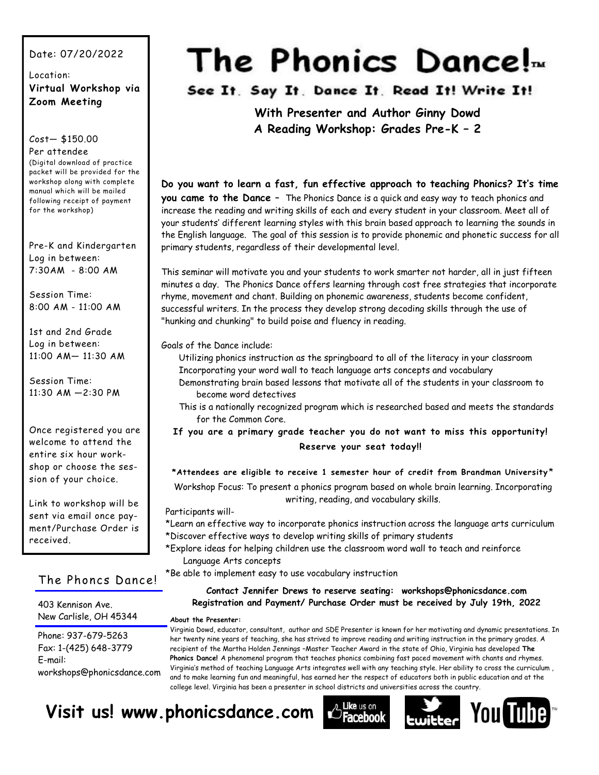#### Date: 07/20/2022

Location: **Virtual Workshop via Zoom Meeting** 

Cost— \$150.00

#### Per attendee (Digital download of practice

packet will be provided for the workshop along with complete manual which will be mailed following receipt of payment for the workshop)

Pre-K and Kindergarten Log in between: 7:30AM - 8:00 AM

Session Time: 8:00 AM - 11:00 AM

1st and 2nd Grade Log in between: 11:00 AM— 11:30 AM

Session Time: 11:30 AM —2:30 PM

Once registered you are welcome to attend the entire six hour workshop or choose the session of your choice.

Link to workshop will be sent via email once payment/Purchase Order is received.

#### The Phoncs Dance!

403 Kennison Ave. New Carlisle, OH 45344

Phone: 937-679-5263 Fax: 1-(425) 648-3779 E-mail: workshops@phonicsdance.com

# The Phonics Dance!<sub>*m*</sub>

See It. Say It. Dance It. Read It! Write It!

**With Presenter and Author Ginny Dowd A Reading Workshop: Grades Pre-K – 2**

**Do you want to learn a fast, fun effective approach to teaching Phonics? It's time you came to the Dance** – The Phonics Dance is a quick and easy way to teach phonics and increase the reading and writing skills of each and every student in your classroom. Meet all of your students' different learning styles with this brain based approach to learning the sounds in the English language. The goal of this session is to provide phonemic and phonetic success for all primary students, regardless of their developmental level.

This seminar will motivate you and your students to work smarter not harder, all in just fifteen minutes a day. The Phonics Dance offers learning through cost free strategies that incorporate rhyme, movement and chant. Building on phonemic awareness, students become confident, successful writers. In the process they develop strong decoding skills through the use of "hunking and chunking" to build poise and fluency in reading.

Goals of the Dance include:

Utilizing phonics instruction as the springboard to all of the literacy in your classroom Incorporating your word wall to teach language arts concepts and vocabulary

- Demonstrating brain based lessons that motivate all of the students in your classroom to become word detectives
- This is a nationally recognized program which is researched based and meets the standards for the Common Core.

**If you are a primary grade teacher you do not want to miss this opportunity! Reserve your seat today!!**

#### **\*Attendees are eligible to receive 1 semester hour of credit from Brandman University** \*

Workshop Focus: To present a phonics program based on whole brain learning. Incorporating writing, reading, and vocabulary skills.

#### Participants will-

- \*Learn an effective way to incorporate phonics instruction across the language arts curriculum \*Discover effective ways to develop writing skills of primary students
- \*Explore ideas for helping children use the classroom word wall to teach and reinforce Language Arts concepts

\*Be able to implement easy to use vocabulary instruction

#### **Contact Jennifer Drews to reserve seating: workshops@phonicsdance.com Registration and Payment/ Purchase Order must be received by July 19th, 2022**

#### **About the Presenter:**

Virginia Dowd, educator, consultant, author and SDE Presenter is known for her motivating and dynamic presentations. In her twenty nine years of teaching, she has strived to improve reading and writing instruction in the primary grades. A recipient of the Martha Holden Jennings –Master Teacher Award in the state of Ohio, Virginia has developed **The Phonics Dance!** A phenomenal program that teaches phonics combining fast paced movement with chants and rhymes. Virginia's method of teaching Language Arts integrates well with any teaching style. Her ability to cross the curriculum , and to make learning fun and meaningful, has earned her the respect of educators both in public education and at the college level. Virginia has been a presenter in school districts and universities across the country.

## **Visit us! www.phonicsdance.com**